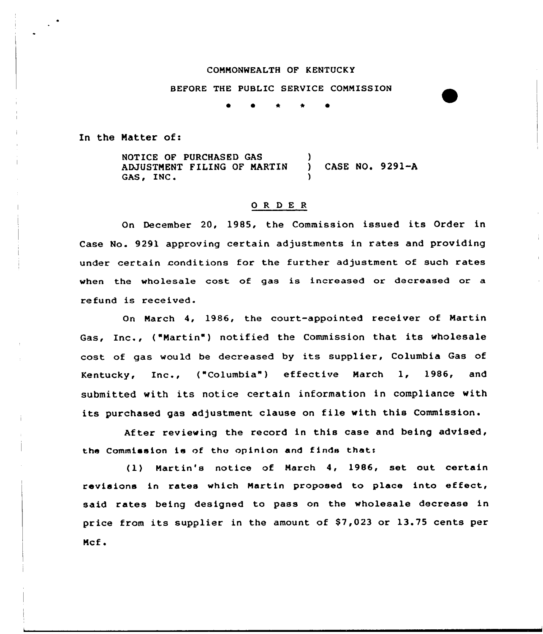#### COMMONWEALTH OF KENTUCKY

BEFORE THE PUBLIC SERVICE COMMISSION

**0 0 x x 0** 

In the Matter of:

NOTICE OF PURCHASED GAS -1 ADJUSTMENT FILING OF MARTIN ( ) CASE NO. 9291-A<br>GAS, INC. )

## 0 <sup>R</sup> <sup>D</sup> E <sup>R</sup>

On December 20, 1985, the Commission issued its Order in Case No. 9291 approving certain adjustments in rates and providing under certain conditions for the further adjustment of such rates when the wholesale cost of gas is increased or decreased or a refund is received.

On March 4, 1986, the court-appointed receiver of Martin Gas, Inc., ("Martin") notified the Commission that its wholesale cost of gas would be decreased by its supplier, Columbia Gas of Kentucky, Inc., ("Columbia") effective March 1, 1986, and submitted with its notice certain information in compliance with its purchased gas adjustment clause on file with this Commission.

After reviewing the record in this case and being advised, the Commission is of the opinion and finds that:

(1) Martin's notice of March 4, 1986, set out certain revisions in rates which Martin proposed to place into effect, said rates being designed to pass on the wholesale decrease in price from its supplier in the amount of \$7,023 or 13.75 cents per Mcf .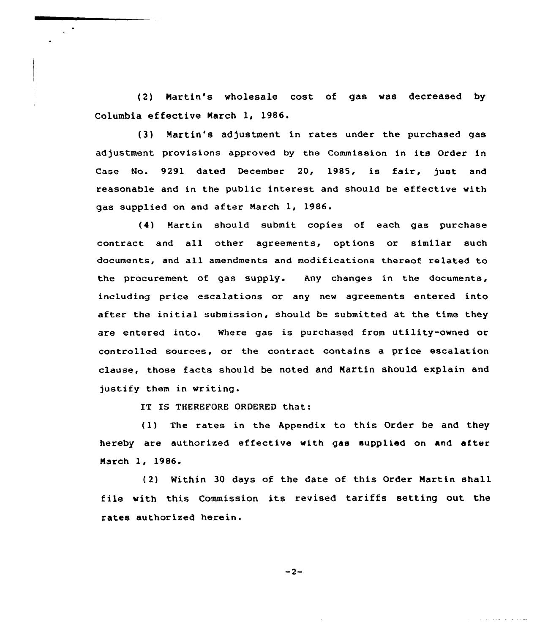(2) Nartin's wholesale cost of gas was decreased by Columbia effective Narch 1, 1986.

(3) Martin's adjustment in rates under the purchased gas adjustment provisions approved by the Commission in its Order in Case No. 9291 dated December 20, 1985, is fair, just and reasonable and in the public interest and should be effective with gas supplied on and after March 1, 1986.

(4) Martin should submit copies of each gas purchase contract and all other agreements, options or similar such documents, and all amendments and modifications thereof related to the procurement of gas supply. Any changes in the documents, including price escalations or any new agreements entered into after the initial submission, should be submitted at the time they are entered into. Where gas is purchased from utility-owned or controlled sources, or the contract contains a price escalation clause, those facts should be noted and Martin should explain and justify them in writing.

IT IS THEREFORE ORDERED that:

(1) The rates in the Appendix to this Order be and they hereby are authorized effective with gas supplied on and after Narch 1, 1986.

(2) Within 30 days of the date of this Order Martin shall file with this Commission its revised tariffs setting out the rates authorized herein.

 $-2-$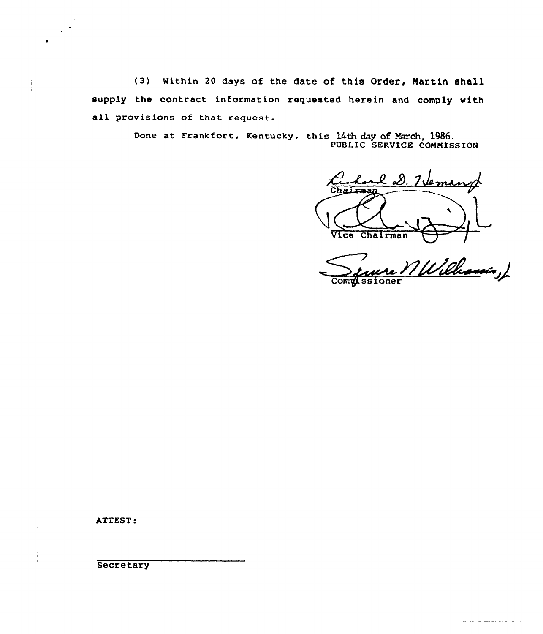(3) Within 20 days of the date of this Order, Hartin 8hall supply the contract information requested herein and comply with all provisions of that request.

> Done at Frankfort, Kentucky, this 14th day of March, 1986. PUBLIC SERVICE CONMISS ION

leman Chairman

Vice Chairman <del>VII</del><br>Since *MWilliamin*,

ATTEST:

**Secretary**